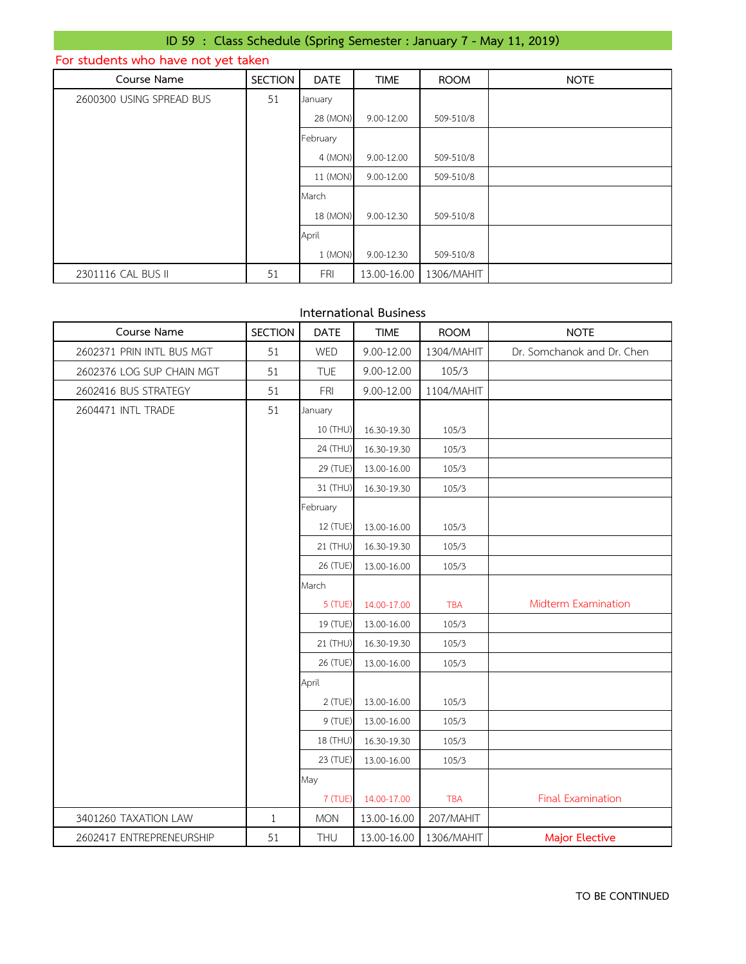## **ID 59 : Class Schedule (Spring Semester : January 7 - May 11, 2019)**

## **For students who have not yet taken**

| Course Name              | <b>SECTION</b> | <b>DATE</b> | <b>TIME</b> | <b>ROOM</b> | <b>NOTE</b> |
|--------------------------|----------------|-------------|-------------|-------------|-------------|
| 2600300 USING SPREAD BUS | 51             | January     |             |             |             |
|                          |                | 28 (MON)    | 9.00-12.00  | 509-510/8   |             |
|                          |                | February    |             |             |             |
|                          |                | 4 (MON)     | 9.00-12.00  | 509-510/8   |             |
|                          |                | 11 (MON)    | 9.00-12.00  | 509-510/8   |             |
|                          |                | March       |             |             |             |
|                          |                | 18 (MON)    | 9.00-12.30  | 509-510/8   |             |
|                          |                | April       |             |             |             |
|                          |                | 1 (MON)     | 9.00-12.30  | 509-510/8   |             |
| 2301116 CAL BUS II       | 51             | <b>FRI</b>  | 13.00-16.00 | 1306/MAHIT  |             |

### **International Business**

| Course Name               | <b>SECTION</b> | <b>DATE</b> | <b>TIME</b> | <b>ROOM</b> | <b>NOTE</b>                |
|---------------------------|----------------|-------------|-------------|-------------|----------------------------|
| 2602371 PRIN INTL BUS MGT | 51             | WED         | 9.00-12.00  | 1304/MAHIT  | Dr. Somchanok and Dr. Chen |
| 2602376 LOG SUP CHAIN MGT | 51             | <b>TUE</b>  | 9.00-12.00  | 105/3       |                            |
| 2602416 BUS STRATEGY      | 51             | <b>FRI</b>  | 9.00-12.00  | 1104/MAHIT  |                            |
| 2604471 INTL TRADE        | 51             | January     |             |             |                            |
|                           |                | 10 (THU)    | 16.30-19.30 | 105/3       |                            |
|                           |                | 24 (THU)    | 16.30-19.30 | 105/3       |                            |
|                           |                | 29 (TUE)    | 13.00-16.00 | 105/3       |                            |
|                           |                | 31 (THU)    | 16.30-19.30 | 105/3       |                            |
|                           |                | February    |             |             |                            |
|                           |                | 12 (TUE)    | 13.00-16.00 | 105/3       |                            |
|                           |                | 21 (THU)    | 16.30-19.30 | 105/3       |                            |
|                           |                | 26 (TUE)    | 13.00-16.00 | 105/3       |                            |
|                           |                | March       |             |             |                            |
|                           |                | 5 (TUE)     | 14.00-17.00 | <b>TBA</b>  | Midterm Examination        |
|                           |                | 19 (TUE)    | 13.00-16.00 | 105/3       |                            |
|                           |                | 21 (THU)    | 16.30-19.30 | 105/3       |                            |
|                           |                | 26 (TUE)    | 13.00-16.00 | 105/3       |                            |
|                           |                | April       |             |             |                            |
|                           |                | 2 (TUE)     | 13.00-16.00 | 105/3       |                            |
|                           |                | 9 (TUE)     | 13.00-16.00 | 105/3       |                            |
|                           |                | 18 (THU)    | 16.30-19.30 | 105/3       |                            |
|                           |                | 23 (TUE)    | 13.00-16.00 | 105/3       |                            |
|                           |                | May         |             |             |                            |
|                           |                | 7 (TUE)     | 14.00-17.00 | <b>TBA</b>  | Final Examination          |
| 3401260 TAXATION LAW      | $\mathbf{1}$   | <b>MON</b>  | 13.00-16.00 | 207/MAHIT   |                            |
| 2602417 ENTREPRENEURSHIP  | 51             | THU         | 13.00-16.00 | 1306/MAHIT  | <b>Major Elective</b>      |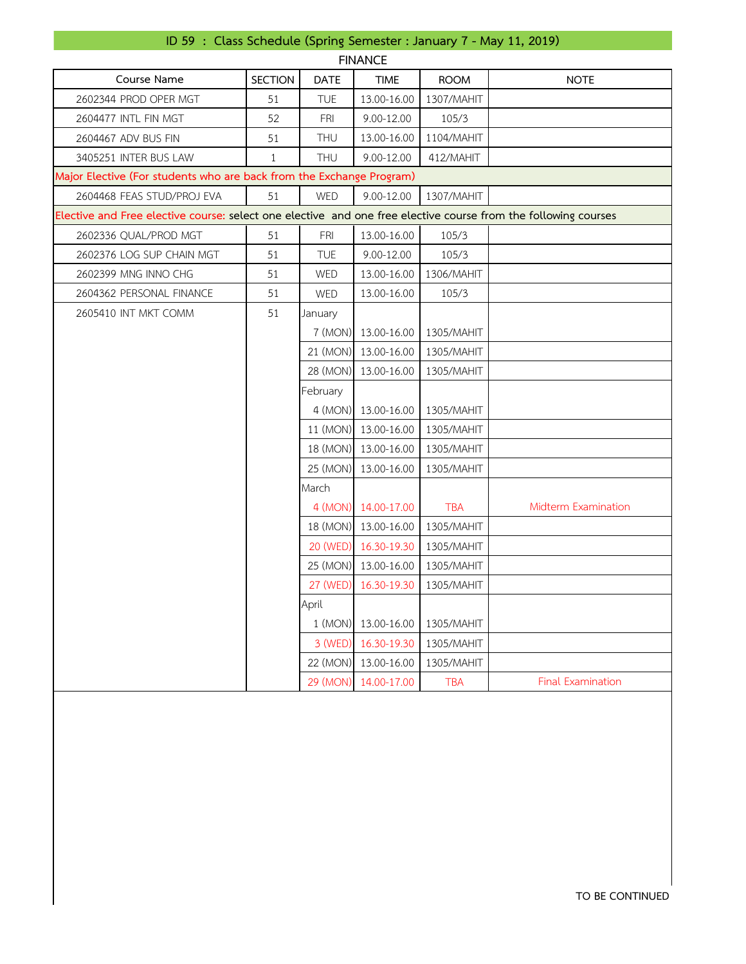## **ID 59 : Class Schedule (Spring Semester : January 7 - May 11, 2019)**

| <b>FINANCE</b>                                                                                                 |                |             |                      |             |                          |  |  |
|----------------------------------------------------------------------------------------------------------------|----------------|-------------|----------------------|-------------|--------------------------|--|--|
| Course Name                                                                                                    | <b>SECTION</b> | <b>DATE</b> | <b>TIME</b>          | <b>ROOM</b> | <b>NOTE</b>              |  |  |
| 2602344 PROD OPER MGT                                                                                          | 51             | <b>TUE</b>  | 13.00-16.00          | 1307/MAHIT  |                          |  |  |
| 2604477 INTL FIN MGT                                                                                           | 52             | <b>FRI</b>  | 9.00-12.00           | 105/3       |                          |  |  |
| 2604467 ADV BUS FIN                                                                                            | 51             | THU         | 13.00-16.00          | 1104/MAHIT  |                          |  |  |
| 3405251 INTER BUS LAW                                                                                          | $\mathbf{1}$   | <b>THU</b>  | 9.00-12.00           | 412/MAHIT   |                          |  |  |
| Major Elective (For students who are back from the Exchange Program)                                           |                |             |                      |             |                          |  |  |
| 2604468 FEAS STUD/PROJ EVA                                                                                     | 51             | WED         | 9.00-12.00           | 1307/MAHIT  |                          |  |  |
| Elective and Free elective course: select one elective and one free elective course from the following courses |                |             |                      |             |                          |  |  |
| 2602336 QUAL/PROD MGT                                                                                          | 51             | <b>FRI</b>  | 13.00-16.00          | 105/3       |                          |  |  |
| 2602376 LOG SUP CHAIN MGT                                                                                      | 51             | TUE         | 9.00-12.00           | 105/3       |                          |  |  |
| 2602399 MNG INNO CHG                                                                                           | 51             | WED         | 13.00-16.00          | 1306/MAHIT  |                          |  |  |
| 2604362 PERSONAL FINANCE                                                                                       | 51             | WED         | 13.00-16.00          | 105/3       |                          |  |  |
| 2605410 INT MKT COMM                                                                                           | 51             | January     |                      |             |                          |  |  |
|                                                                                                                |                |             | 7 (MON) 13.00-16.00  | 1305/MAHIT  |                          |  |  |
|                                                                                                                |                |             | 21 (MON) 13.00-16.00 | 1305/MAHIT  |                          |  |  |
|                                                                                                                |                | 28 (MON)    | 13.00-16.00          | 1305/MAHIT  |                          |  |  |
|                                                                                                                |                | February    |                      |             |                          |  |  |
|                                                                                                                |                |             | 4 (MON) 13.00-16.00  | 1305/MAHIT  |                          |  |  |
|                                                                                                                |                |             | 11 (MON) 13.00-16.00 | 1305/MAHIT  |                          |  |  |
|                                                                                                                |                |             | 18 (MON) 13.00-16.00 | 1305/MAHIT  |                          |  |  |
|                                                                                                                |                | 25 (MON)    | 13.00-16.00          | 1305/MAHIT  |                          |  |  |
|                                                                                                                |                | March       |                      |             |                          |  |  |
|                                                                                                                |                |             | 4 (MON) 14.00-17.00  | <b>TBA</b>  | Midterm Examination      |  |  |
|                                                                                                                |                |             | 18 (MON) 13.00-16.00 | 1305/MAHIT  |                          |  |  |
|                                                                                                                |                | 20 (WED)    | 16.30-19.30          | 1305/MAHIT  |                          |  |  |
|                                                                                                                |                |             | 25 (MON) 13.00-16.00 | 1305/MAHIT  |                          |  |  |
|                                                                                                                |                | 27 (WED)    | 16.30-19.30          | 1305/MAHIT  |                          |  |  |
|                                                                                                                |                | April       |                      |             |                          |  |  |
|                                                                                                                |                | 1 (MON)     | 13.00-16.00          | 1305/MAHIT  |                          |  |  |
|                                                                                                                |                | 3 (WED)     | 16.30-19.30          | 1305/MAHIT  |                          |  |  |
|                                                                                                                |                | 22 (MON)    | 13.00-16.00          | 1305/MAHIT  |                          |  |  |
|                                                                                                                |                | 29 (MON)    | 14.00-17.00          | <b>TBA</b>  | <b>Final Examination</b> |  |  |